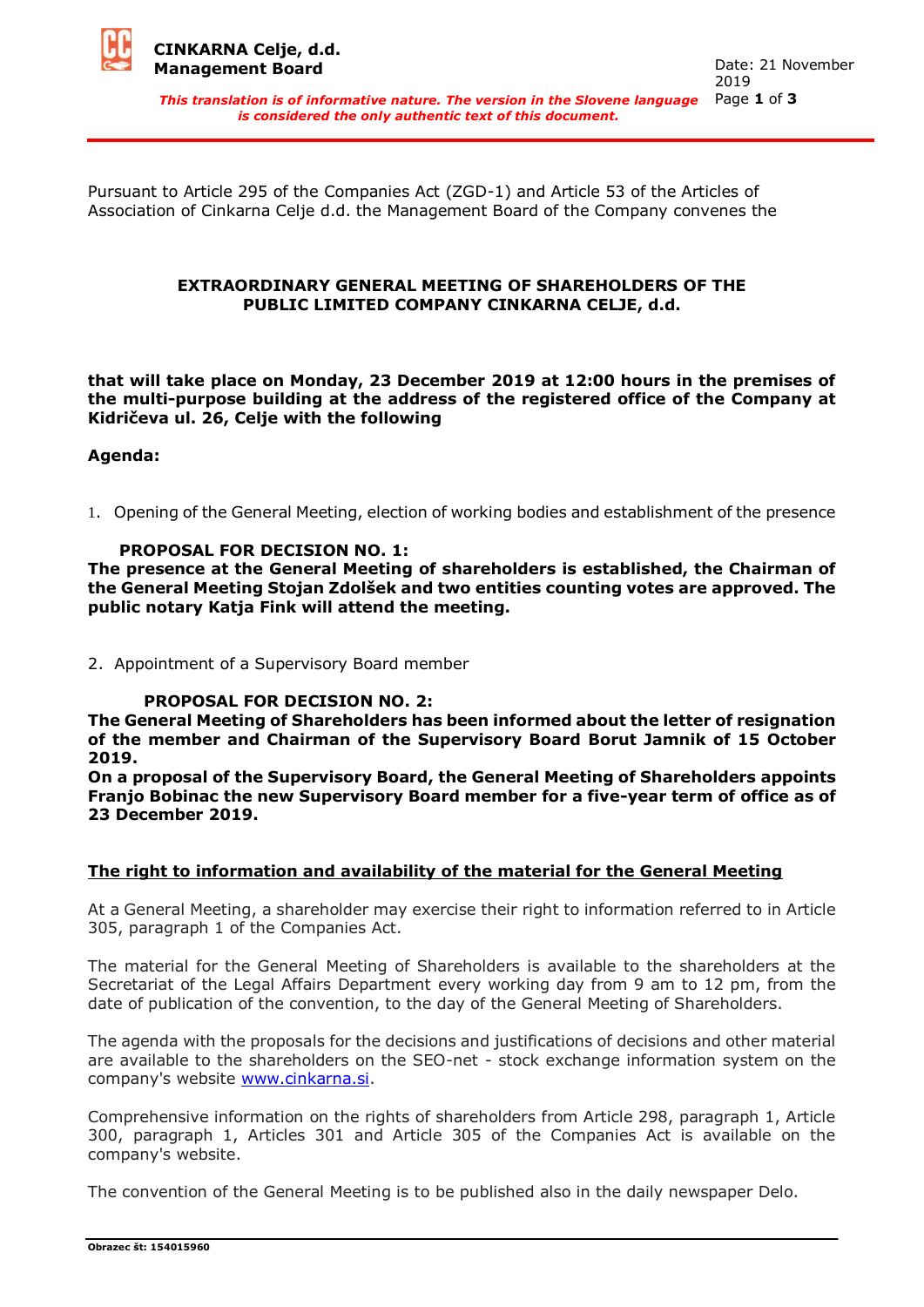

Pursuant to Article 295 of the Companies Act (ZGD-1) and Article 53 of the Articles of Association of Cinkarna Celje d.d. the Management Board of the Company convenes the

*This translation is of informative nature. The version in the Slovene language is considered the only authentic text of this document.*

## **EXTRAORDINARY GENERAL MEETING OF SHAREHOLDERS OF THE PUBLIC LIMITED COMPANY CINKARNA CELJE, d.d.**

**that will take place on Monday, 23 December 2019 at 12:00 hours in the premises of the multi-purpose building at the address of the registered office of the Company at Kidričeva ul. 26, Celje with the following** 

### **Agenda:**

1. Opening of the General Meeting, election of working bodies and establishment of the presence

### **PROPOSAL FOR DECISION NO. 1:**

**The presence at the General Meeting of shareholders is established, the Chairman of the General Meeting Stojan Zdolšek and two entities counting votes are approved. The public notary Katja Fink will attend the meeting.**

2. Appointment of a Supervisory Board member

### **PROPOSAL FOR DECISION NO. 2:**

**The General Meeting of Shareholders has been informed about the letter of resignation of the member and Chairman of the Supervisory Board Borut Jamnik of 15 October 2019.**

**On a proposal of the Supervisory Board, the General Meeting of Shareholders appoints Franjo Bobinac the new Supervisory Board member for a five-year term of office as of 23 December 2019.**

### **The right to information and availability of the material for the General Meeting**

At a General Meeting, a shareholder may exercise their right to information referred to in Article 305, paragraph 1 of the Companies Act.

The material for the General Meeting of Shareholders is available to the shareholders at the Secretariat of the Legal Affairs Department every working day from 9 am to 12 pm, from the date of publication of the convention, to the day of the General Meeting of Shareholders.

The agenda with the proposals for the decisions and justifications of decisions and other material are available to the shareholders on the SEO-net - stock exchange information system on the company's website [www.cinkarna.si.](http://www.cinkarna.si/)

Comprehensive information on the rights of shareholders from Article 298, paragraph 1, Article 300, paragraph 1, Articles 301 and Article 305 of the Companies Act is available on the company's website.

The convention of the General Meeting is to be published also in the daily newspaper Delo.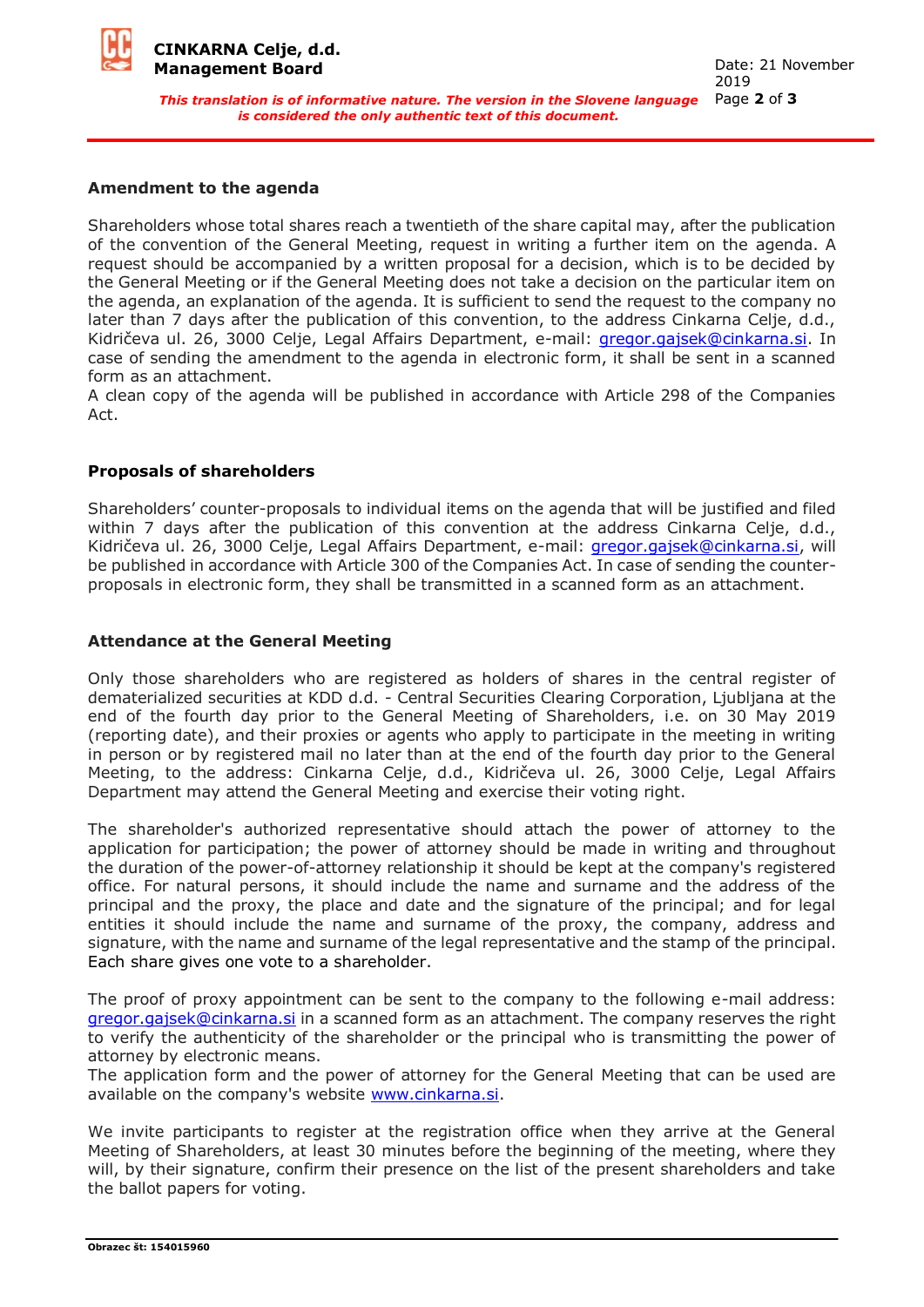

**CINKARNA Celje, d.d. Management Board**

# **Amendment to the agenda**

Shareholders whose total shares reach a twentieth of the share capital may, after the publication of the convention of the General Meeting, request in writing a further item on the agenda. A request should be accompanied by a written proposal for a decision, which is to be decided by the General Meeting or if the General Meeting does not take a decision on the particular item on the agenda, an explanation of the agenda. It is sufficient to send the request to the company no later than 7 days after the publication of this convention, to the address Cinkarna Celje, d.d., Kidričeva ul. 26, 3000 Celje, Legal Affairs Department, e-mail: [gregor.gajsek@cinkarna.si.](mailto:gregor.gajsek@cinkarna.si) In case of sending the amendment to the agenda in electronic form, it shall be sent in a scanned form as an attachment.

A clean copy of the agenda will be published in accordance with Article 298 of the Companies Act.

# **Proposals of shareholders**

Shareholders' counter-proposals to individual items on the agenda that will be justified and filed within 7 days after the publication of this convention at the address Cinkarna Celje, d.d., Kidričeva ul. 26, 3000 Celje, Legal Affairs Department, e-mail: [gregor.gajsek@cinkarna.si,](mailto:gregor.gajsek@cinkarna.si) will be published in accordance with Article 300 of the Companies Act. In case of sending the counterproposals in electronic form, they shall be transmitted in a scanned form as an attachment.

# **Attendance at the General Meeting**

Only those shareholders who are registered as holders of shares in the central register of dematerialized securities at KDD d.d. - Central Securities Clearing Corporation, Ljubljana at the end of the fourth day prior to the General Meeting of Shareholders, i.e. on 30 May 2019 (reporting date), and their proxies or agents who apply to participate in the meeting in writing in person or by registered mail no later than at the end of the fourth day prior to the General Meeting, to the address: Cinkarna Celje, d.d., Kidričeva ul. 26, 3000 Celje, Legal Affairs Department may attend the General Meeting and exercise their voting right.

The shareholder's authorized representative should attach the power of attorney to the application for participation; the power of attorney should be made in writing and throughout the duration of the power-of-attorney relationship it should be kept at the company's registered office. For natural persons, it should include the name and surname and the address of the principal and the proxy, the place and date and the signature of the principal; and for legal entities it should include the name and surname of the proxy, the company, address and signature, with the name and surname of the legal representative and the stamp of the principal. Each share gives one vote to a shareholder.

The proof of proxy appointment can be sent to the company to the following e-mail address: [gregor.gajsek@cinkarna.si](mailto:gregor.gajsek@cinkarna.si) in a scanned form as an attachment. The company reserves the right to verify the authenticity of the shareholder or the principal who is transmitting the power of attorney by electronic means.

The application form and the power of attorney for the General Meeting that can be used are available on the company's website [www.cinkarna.si.](http://www.cinkarna.si/)

We invite participants to register at the registration office when they arrive at the General Meeting of Shareholders, at least 30 minutes before the beginning of the meeting, where they will, by their signature, confirm their presence on the list of the present shareholders and take the ballot papers for voting.